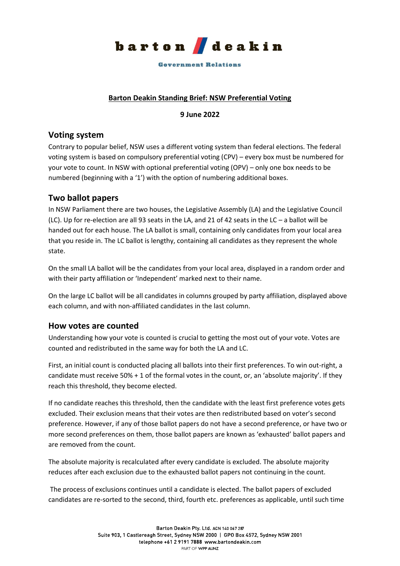

#### **Government Relations**

### **Barton Deakin Standing Brief: NSW Preferential Voting**

### **9 June 2022**

## **Voting system**

Contrary to popular belief, NSW uses a different voting system than federal elections. The federal voting system is based on compulsory preferential voting (CPV) – every box must be numbered for your vote to count. In NSW with optional preferential voting (OPV) – only one box needs to be numbered (beginning with a '1') with the option of numbering additional boxes.

# **Two ballot papers**

In NSW Parliament there are two houses, the Legislative Assembly (LA) and the Legislative Council (LC). Up for re-election are all 93 seats in the LA, and 21 of 42 seats in the LC – a ballot will be handed out for each house. The LA ballot is small, containing only candidates from your local area that you reside in. The LC ballot is lengthy, containing all candidates as they represent the whole state.

On the small LA ballot will be the candidates from your local area, displayed in a random order and with their party affiliation or 'Independent' marked next to their name.

On the large LC ballot will be all candidates in columns grouped by party affiliation, displayed above each column, and with non-affiliated candidates in the last column.

# **How votes are counted**

Understanding how your vote is counted is crucial to getting the most out of your vote. Votes are counted and redistributed in the same way for both the LA and LC.

First, an initial count is conducted placing all ballots into their first preferences. To win out-right, a candidate must receive 50% + 1 of the formal votes in the count, or, an 'absolute majority'. If they reach this threshold, they become elected.

If no candidate reaches this threshold, then the candidate with the least first preference votes gets excluded. Their exclusion means that their votes are then redistributed based on voter's second preference. However, if any of those ballot papers do not have a second preference, or have two or more second preferences on them, those ballot papers are known as 'exhausted' ballot papers and are removed from the count.

The absolute majority is recalculated after every candidate is excluded. The absolute majority reduces after each exclusion due to the exhausted ballot papers not continuing in the count.

The process of exclusions continues until a candidate is elected. The ballot papers of excluded candidates are re-sorted to the second, third, fourth etc. preferences as applicable, until such time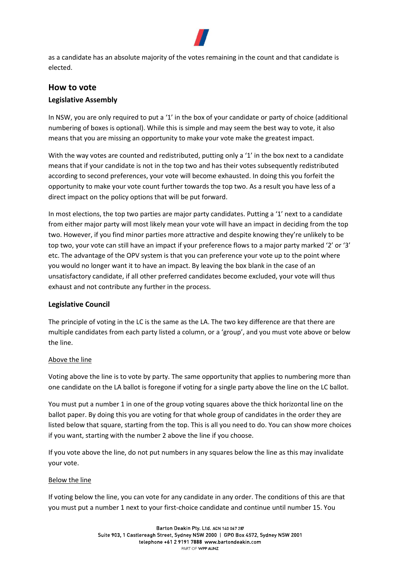

as a candidate has an absolute majority of the votes remaining in the count and that candidate is elected.

# **How to vote Legislative Assembly**

In NSW, you are only required to put a '1' in the box of your candidate or party of choice (additional numbering of boxes is optional). While this is simple and may seem the best way to vote, it also means that you are missing an opportunity to make your vote make the greatest impact.

With the way votes are counted and redistributed, putting only a '1' in the box next to a candidate means that if your candidate is not in the top two and has their votes subsequently redistributed according to second preferences, your vote will become exhausted. In doing this you forfeit the opportunity to make your vote count further towards the top two. As a result you have less of a direct impact on the policy options that will be put forward.

In most elections, the top two parties are major party candidates. Putting a '1' next to a candidate from either major party will most likely mean your vote will have an impact in deciding from the top two. However, if you find minor parties more attractive and despite knowing they're unlikely to be top two, your vote can still have an impact if your preference flows to a major party marked '2' or '3' etc. The advantage of the OPV system is that you can preference your vote up to the point where you would no longer want it to have an impact. By leaving the box blank in the case of an unsatisfactory candidate, if all other preferred candidates become excluded, your vote will thus exhaust and not contribute any further in the process.

### **Legislative Council**

The principle of voting in the LC is the same as the LA. The two key difference are that there are multiple candidates from each party listed a column, or a 'group', and you must vote above or below the line.

### Above the line

Voting above the line is to vote by party. The same opportunity that applies to numbering more than one candidate on the LA ballot is foregone if voting for a single party above the line on the LC ballot.

You must put a number 1 in one of the group voting squares above the thick horizontal line on the ballot paper. By doing this you are voting for that whole group of candidates in the order they are listed below that square, starting from the top. This is all you need to do. You can show more choices if you want, starting with the number 2 above the line if you choose.

If you vote above the line, do not put numbers in any squares below the line as this may invalidate your vote.

### Below the line

If voting below the line, you can vote for any candidate in any order. The conditions of this are that you must put a number 1 next to your first-choice candidate and continue until number 15. You